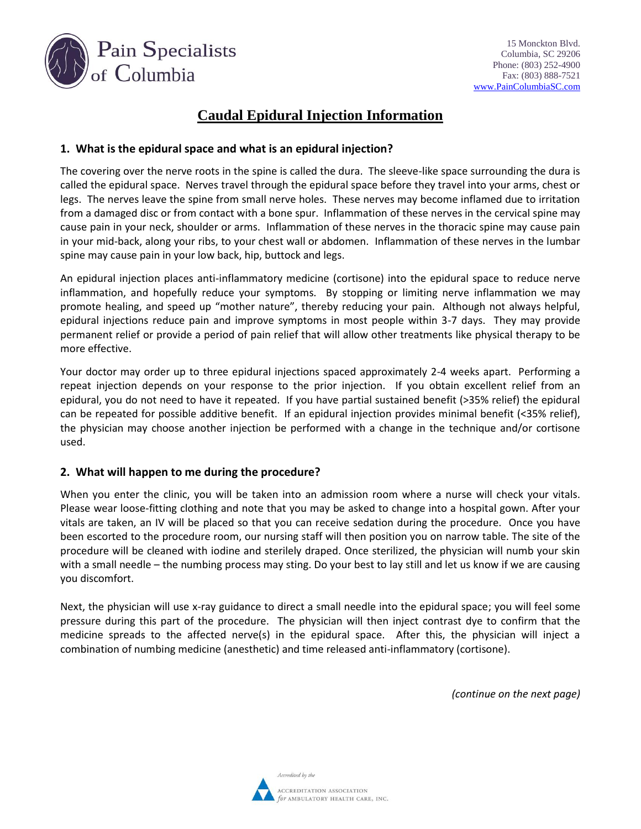

## **Caudal Epidural Injection Information**

## **1. What is the epidural space and what is an epidural injection?**

The covering over the nerve roots in the spine is called the dura. The sleeve-like space surrounding the dura is called the epidural space. Nerves travel through the epidural space before they travel into your arms, chest or legs. The nerves leave the spine from small nerve holes. These nerves may become inflamed due to irritation from a damaged disc or from contact with a bone spur. Inflammation of these nerves in the cervical spine may cause pain in your neck, shoulder or arms. Inflammation of these nerves in the thoracic spine may cause pain in your mid-back, along your ribs, to your chest wall or abdomen. Inflammation of these nerves in the lumbar spine may cause pain in your low back, hip, buttock and legs.

An epidural injection places anti-inflammatory medicine (cortisone) into the epidural space to reduce nerve inflammation, and hopefully reduce your symptoms. By stopping or limiting nerve inflammation we may promote healing, and speed up "mother nature", thereby reducing your pain. Although not always helpful, epidural injections reduce pain and improve symptoms in most people within 3-7 days. They may provide permanent relief or provide a period of pain relief that will allow other treatments like physical therapy to be more effective.

Your doctor may order up to three epidural injections spaced approximately 2-4 weeks apart. Performing a repeat injection depends on your response to the prior injection. If you obtain excellent relief from an epidural, you do not need to have it repeated. If you have partial sustained benefit (>35% relief) the epidural can be repeated for possible additive benefit. If an epidural injection provides minimal benefit (<35% relief), the physician may choose another injection be performed with a change in the technique and/or cortisone used.

## **2. What will happen to me during the procedure?**

When you enter the clinic, you will be taken into an admission room where a nurse will check your vitals. Please wear loose-fitting clothing and note that you may be asked to change into a hospital gown. After your vitals are taken, an IV will be placed so that you can receive sedation during the procedure. Once you have been escorted to the procedure room, our nursing staff will then position you on narrow table. The site of the procedure will be cleaned with iodine and sterilely draped. Once sterilized, the physician will numb your skin with a small needle – the numbing process may sting. Do your best to lay still and let us know if we are causing you discomfort.

Next, the physician will use x-ray guidance to direct a small needle into the epidural space; you will feel some pressure during this part of the procedure. The physician will then inject contrast dye to confirm that the medicine spreads to the affected nerve(s) in the epidural space. After this, the physician will inject a combination of numbing medicine (anesthetic) and time released anti-inflammatory (cortisone).

*(continue on the next page)*